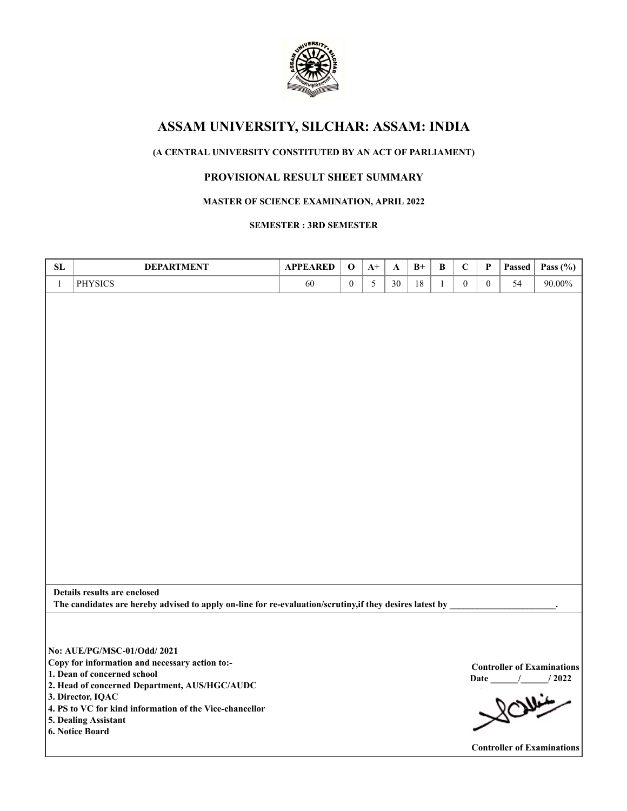

# **(A CENTRAL UNIVERSITY CONSTITUTED BY AN ACT OF PARLIAMENT)**

# **PROVISIONAL RESULT SHEET SUMMARY**

# **MASTER OF SCIENCE EXAMINATION, APRIL 2022**

## **SEMESTER : 3RD SEMESTER**

| SL           | <b>DEPARTMENT</b>                                                                                        | <b>APPEARED</b> | $\mathbf 0$      | $A+$ | A  | $B+$ | $\, {\bf B}$ | $\mathbf C$      | P              | Passed | Pass $(\% )$                                       |
|--------------|----------------------------------------------------------------------------------------------------------|-----------------|------------------|------|----|------|--------------|------------------|----------------|--------|----------------------------------------------------|
| $\mathbf{1}$ | <b>PHYSICS</b>                                                                                           | 60              | $\boldsymbol{0}$ | 5    | 30 | 18   | $\mathbf{1}$ | $\boldsymbol{0}$ | $\overline{0}$ | 54     | 90.00%                                             |
|              |                                                                                                          |                 |                  |      |    |      |              |                  |                |        |                                                    |
|              |                                                                                                          |                 |                  |      |    |      |              |                  |                |        |                                                    |
|              |                                                                                                          |                 |                  |      |    |      |              |                  |                |        |                                                    |
|              |                                                                                                          |                 |                  |      |    |      |              |                  |                |        |                                                    |
|              |                                                                                                          |                 |                  |      |    |      |              |                  |                |        |                                                    |
|              |                                                                                                          |                 |                  |      |    |      |              |                  |                |        |                                                    |
|              |                                                                                                          |                 |                  |      |    |      |              |                  |                |        |                                                    |
|              |                                                                                                          |                 |                  |      |    |      |              |                  |                |        |                                                    |
|              |                                                                                                          |                 |                  |      |    |      |              |                  |                |        |                                                    |
|              |                                                                                                          |                 |                  |      |    |      |              |                  |                |        |                                                    |
|              |                                                                                                          |                 |                  |      |    |      |              |                  |                |        |                                                    |
|              |                                                                                                          |                 |                  |      |    |      |              |                  |                |        |                                                    |
|              |                                                                                                          |                 |                  |      |    |      |              |                  |                |        |                                                    |
|              |                                                                                                          |                 |                  |      |    |      |              |                  |                |        |                                                    |
|              |                                                                                                          |                 |                  |      |    |      |              |                  |                |        |                                                    |
|              |                                                                                                          |                 |                  |      |    |      |              |                  |                |        |                                                    |
|              |                                                                                                          |                 |                  |      |    |      |              |                  |                |        |                                                    |
|              |                                                                                                          |                 |                  |      |    |      |              |                  |                |        |                                                    |
|              |                                                                                                          |                 |                  |      |    |      |              |                  |                |        |                                                    |
|              |                                                                                                          |                 |                  |      |    |      |              |                  |                |        |                                                    |
|              |                                                                                                          |                 |                  |      |    |      |              |                  |                |        |                                                    |
|              | Details results are enclosed                                                                             |                 |                  |      |    |      |              |                  |                |        |                                                    |
|              | The candidates are hereby advised to apply on-line for re-evaluation/scrutiny, if they desires latest by |                 |                  |      |    |      |              |                  |                |        |                                                    |
|              |                                                                                                          |                 |                  |      |    |      |              |                  |                |        |                                                    |
|              |                                                                                                          |                 |                  |      |    |      |              |                  |                |        |                                                    |
|              | No: AUE/PG/MSC-01/Odd/ 2021                                                                              |                 |                  |      |    |      |              |                  |                |        |                                                    |
|              | Copy for information and necessary action to:-                                                           |                 |                  |      |    |      |              |                  |                |        |                                                    |
|              | 1. Dean of concerned school                                                                              |                 |                  |      |    |      |              |                  |                |        | <b>Controller of Examinations</b><br>Date / / 2022 |
|              | 2. Head of concerned Department, AUS/HGC/AUDC                                                            |                 |                  |      |    |      |              |                  |                |        | 80                                                 |
|              | 3. Director, IQAC                                                                                        |                 |                  |      |    |      |              |                  |                |        |                                                    |
|              | 4. PS to VC for kind information of the Vice-chancellor                                                  |                 |                  |      |    |      |              |                  |                |        |                                                    |
|              | 5. Dealing Assistant<br>6. Notice Board                                                                  |                 |                  |      |    |      |              |                  |                |        |                                                    |
|              |                                                                                                          |                 |                  |      |    |      |              |                  |                |        | <b>Controller of Examinations</b>                  |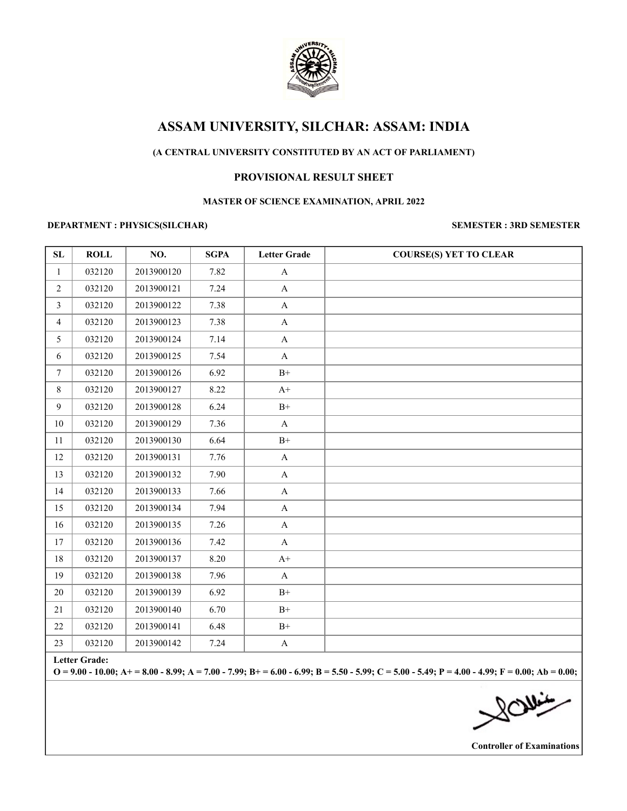

# **(A CENTRAL UNIVERSITY CONSTITUTED BY AN ACT OF PARLIAMENT)**

# **PROVISIONAL RESULT SHEET**

### **MASTER OF SCIENCE EXAMINATION, APRIL 2022**

### **DEPARTMENT : PHYSICS(SILCHAR) SEMESTER : 3RD SEMESTER**

| SL               | <b>ROLL</b> | NO.        | <b>SGPA</b> | <b>Letter Grade</b> | <b>COURSE(S) YET TO CLEAR</b> |
|------------------|-------------|------------|-------------|---------------------|-------------------------------|
| 1                | 032120      | 2013900120 | 7.82        | $\mathbf{A}$        |                               |
| $\overline{2}$   | 032120      | 2013900121 | 7.24        | $\mathbf A$         |                               |
| 3                | 032120      | 2013900122 | 7.38        | $\mathbf A$         |                               |
| $\overline{4}$   | 032120      | 2013900123 | 7.38        | $\mathbf A$         |                               |
| 5                | 032120      | 2013900124 | 7.14        | $\mathbf A$         |                               |
| 6                | 032120      | 2013900125 | 7.54        | $\mathbf A$         |                               |
| $\boldsymbol{7}$ | 032120      | 2013900126 | 6.92        | $\mathrm{B}^{+}$    |                               |
| 8                | 032120      | 2013900127 | 8.22        | $A+$                |                               |
| 9                | 032120      | 2013900128 | 6.24        | $\mathrm{B}^{+}$    |                               |
| $10\,$           | 032120      | 2013900129 | 7.36        | $\mathbf A$         |                               |
| $11\,$           | 032120      | 2013900130 | 6.64        | $\mathrm{B}^{+}$    |                               |
| 12               | 032120      | 2013900131 | 7.76        | $\mathbf{A}$        |                               |
| 13               | 032120      | 2013900132 | 7.90        | $\mathbf A$         |                               |
| 14               | 032120      | 2013900133 | 7.66        | $\mathbf A$         |                               |
| 15               | 032120      | 2013900134 | 7.94        | $\mathbf{A}$        |                               |
| 16               | 032120      | 2013900135 | 7.26        | $\mathbf{A}$        |                               |
| 17               | 032120      | 2013900136 | 7.42        | $\mathbf A$         |                               |
| $18\,$           | 032120      | 2013900137 | 8.20        | $A+$                |                               |
| 19               | 032120      | 2013900138 | 7.96        | $\mathbf A$         |                               |
| 20               | 032120      | 2013900139 | 6.92        | $B+$                |                               |
| 21               | 032120      | 2013900140 | 6.70        | $\rm B+$            |                               |
| 22               | 032120      | 2013900141 | 6.48        | $\mathrm{B}^{+}$    |                               |
| 23               | 032120      | 2013900142 | 7.24        | $\mathbf A$         |                               |

**Letter Grade:**

**O = 9.00 - 10.00; A+ = 8.00 - 8.99; A = 7.00 - 7.99; B+ = 6.00 - 6.99; B = 5.50 - 5.99; C = 5.00 - 5.49; P = 4.00 - 4.99; F = 0.00; Ab = 0.00;**

SOMis

**Controller of Examinations**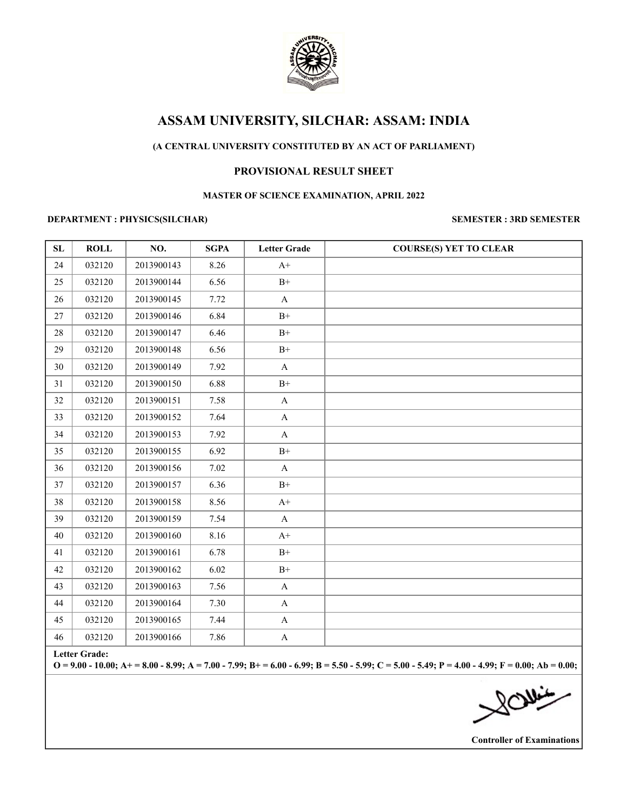

# **(A CENTRAL UNIVERSITY CONSTITUTED BY AN ACT OF PARLIAMENT)**

# **PROVISIONAL RESULT SHEET**

### **MASTER OF SCIENCE EXAMINATION, APRIL 2022**

# **DEPARTMENT : PHYSICS(SILCHAR) SEMESTER : 3RD SEMESTER**

| SL     | <b>ROLL</b>   | NO.        | <b>SGPA</b> | <b>Letter Grade</b> | <b>COURSE(S) YET TO CLEAR</b> |
|--------|---------------|------------|-------------|---------------------|-------------------------------|
| 24     | 032120        | 2013900143 | 8.26        | $A+$                |                               |
| 25     | 032120        | 2013900144 | 6.56        | $\mathrm{B}^{+}$    |                               |
| 26     | 032120        | 2013900145 | 7.72        | $\mathbf A$         |                               |
| 27     | 032120        | 2013900146 | 6.84        | $B+$                |                               |
| $28\,$ | 032120        | 2013900147 | 6.46        | $\rm B+$            |                               |
| 29     | 032120        | 2013900148 | 6.56        | $\mathrm{B}^{+}$    |                               |
| 30     | 032120        | 2013900149 | 7.92        | $\mathbf{A}$        |                               |
| 31     | 032120        | 2013900150 | 6.88        | $B+$                |                               |
| 32     | 032120        | 2013900151 | 7.58        | $\mathbf{A}$        |                               |
| 33     | 032120        | 2013900152 | 7.64        | $\mathbf A$         |                               |
| 34     | 032120        | 2013900153 | 7.92        | $\mathbf{A}$        |                               |
| 35     | 032120        | 2013900155 | 6.92        | $\mathrm{B}^{+}$    |                               |
| 36     | 032120        | 2013900156 | 7.02        | $\mathbf{A}$        |                               |
| 37     | 032120        | 2013900157 | 6.36        | $B+$                |                               |
| 38     | 032120        | 2013900158 | 8.56        | $\mathrm{A}^+$      |                               |
| 39     | 032120        | 2013900159 | 7.54        | $\mathbf A$         |                               |
| 40     | 032120        | 2013900160 | 8.16        | $\mathrm{A}^+$      |                               |
| 41     | 032120        | 2013900161 | 6.78        | $B+$                |                               |
| 42     | 032120        | 2013900162 | 6.02        | $\mathrm{B}^{+}$    |                               |
| 43     | 032120        | 2013900163 | 7.56        | $\mathbf A$         |                               |
| 44     | 032120        | 2013900164 | 7.30        | $\mathbf A$         |                               |
| 45     | 032120        | 2013900165 | 7.44        | $\mathbf{A}$        |                               |
| 46     | 032120        | 2013900166 | 7.86        | $\mathbf{A}$        |                               |
|        | Letter Grade. |            |             |                     |                               |

**Letter Grade:**

**O = 9.00 - 10.00; A+ = 8.00 - 8.99; A = 7.00 - 7.99; B+ = 6.00 - 6.99; B = 5.50 - 5.99; C = 5.00 - 5.49; P = 4.00 - 4.99; F = 0.00; Ab = 0.00;**

**NOW:** 

**Controller of Examinations**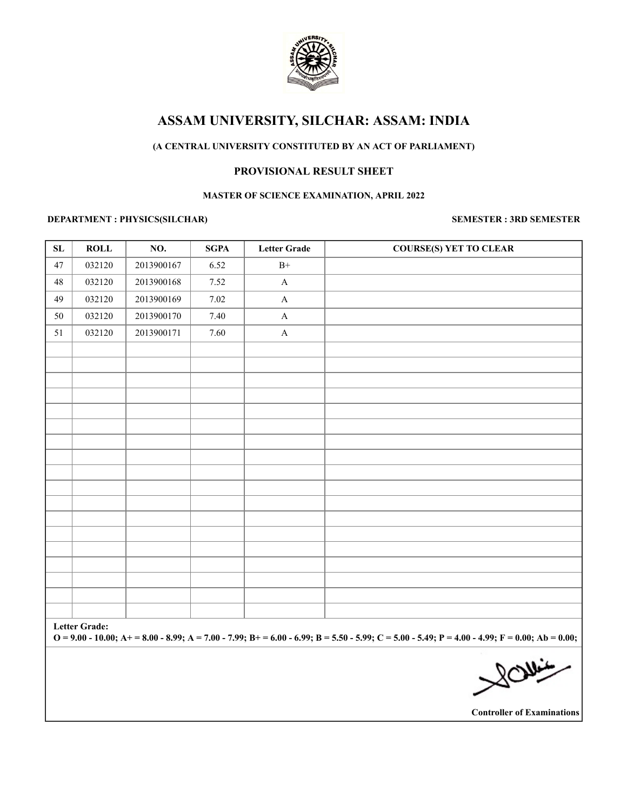

# **(A CENTRAL UNIVERSITY CONSTITUTED BY AN ACT OF PARLIAMENT)**

# **PROVISIONAL RESULT SHEET**

## **MASTER OF SCIENCE EXAMINATION, APRIL 2022**

# **DEPARTMENT : PHYSICS(SILCHAR) SEMESTER : 3RD SEMESTER**

| ${\bf SL}$ | ROLL                                                                                                                                                                      | NO.        | <b>SGPA</b> | <b>Letter Grade</b> | <b>COURSE(S) YET TO CLEAR</b>     |  |  |  |
|------------|---------------------------------------------------------------------------------------------------------------------------------------------------------------------------|------------|-------------|---------------------|-----------------------------------|--|--|--|
| 47         | 032120                                                                                                                                                                    | 2013900167 | 6.52        | $\mathrm{B}^{+}$    |                                   |  |  |  |
| 48         | 032120                                                                                                                                                                    | 2013900168 | 7.52        | $\mathbf A$         |                                   |  |  |  |
| 49         | 032120                                                                                                                                                                    | 2013900169 | $7.02\,$    | $\mathbf A$         |                                   |  |  |  |
| 50         | 032120                                                                                                                                                                    | 2013900170 | 7.40        | $\mathbf A$         |                                   |  |  |  |
| 51         | 032120                                                                                                                                                                    | 2013900171 | 7.60        | $\mathbf A$         |                                   |  |  |  |
|            |                                                                                                                                                                           |            |             |                     |                                   |  |  |  |
|            |                                                                                                                                                                           |            |             |                     |                                   |  |  |  |
|            |                                                                                                                                                                           |            |             |                     |                                   |  |  |  |
|            |                                                                                                                                                                           |            |             |                     |                                   |  |  |  |
|            |                                                                                                                                                                           |            |             |                     |                                   |  |  |  |
|            |                                                                                                                                                                           |            |             |                     |                                   |  |  |  |
|            |                                                                                                                                                                           |            |             |                     |                                   |  |  |  |
|            |                                                                                                                                                                           |            |             |                     |                                   |  |  |  |
|            |                                                                                                                                                                           |            |             |                     |                                   |  |  |  |
|            |                                                                                                                                                                           |            |             |                     |                                   |  |  |  |
|            |                                                                                                                                                                           |            |             |                     |                                   |  |  |  |
|            |                                                                                                                                                                           |            |             |                     |                                   |  |  |  |
|            |                                                                                                                                                                           |            |             |                     |                                   |  |  |  |
|            |                                                                                                                                                                           |            |             |                     |                                   |  |  |  |
|            |                                                                                                                                                                           |            |             |                     |                                   |  |  |  |
|            |                                                                                                                                                                           |            |             |                     |                                   |  |  |  |
|            |                                                                                                                                                                           |            |             |                     |                                   |  |  |  |
|            | <b>Letter Grade:</b><br>$O = 9.00 - 10.00$ ; A+ = 8.00 - 8.99; A = 7.00 - 7.99; B+ = 6.00 - 6.99; B = 5.50 - 5.99; C = 5.00 - 5.49; P = 4.00 - 4.99; F = 0.00; Ab = 0.00; |            |             |                     |                                   |  |  |  |
|            |                                                                                                                                                                           |            |             |                     | <b>NOW:</b>                       |  |  |  |
|            |                                                                                                                                                                           |            |             |                     | <b>Controller of Examinations</b> |  |  |  |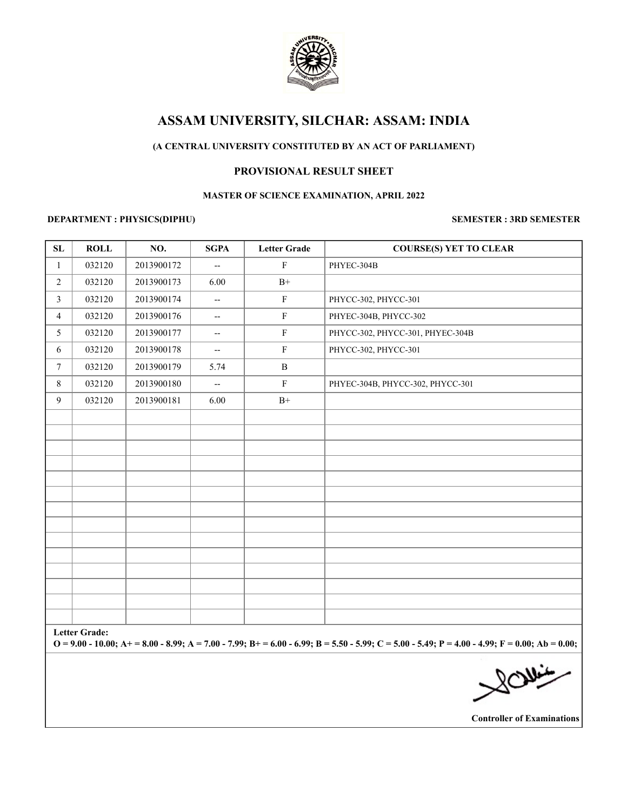

# **(A CENTRAL UNIVERSITY CONSTITUTED BY AN ACT OF PARLIAMENT)**

# **PROVISIONAL RESULT SHEET**

### **MASTER OF SCIENCE EXAMINATION, APRIL 2022**

## **DEPARTMENT : PHYSICS(DIPHU) SEMESTER : 3RD SEMESTER**

| ${\bf SL}$                                                                                                                                                                | <b>ROLL</b> | NO.        | <b>SGPA</b>                                         | <b>Letter Grade</b> | <b>COURSE(S) YET TO CLEAR</b>    |  |  |  |  |
|---------------------------------------------------------------------------------------------------------------------------------------------------------------------------|-------------|------------|-----------------------------------------------------|---------------------|----------------------------------|--|--|--|--|
| $\mathbf{1}$                                                                                                                                                              | 032120      | 2013900172 | $\overline{\phantom{a}}$                            | $\mathbf F$         | PHYEC-304B                       |  |  |  |  |
| $\overline{2}$                                                                                                                                                            | 032120      | 2013900173 | 6.00                                                | $B+$                |                                  |  |  |  |  |
| $\mathfrak{Z}$                                                                                                                                                            | 032120      | 2013900174 | $\overline{\phantom{a}}$                            | $\mathbf F$         | PHYCC-302, PHYCC-301             |  |  |  |  |
| $\overline{4}$                                                                                                                                                            | 032120      | 2013900176 | $\hspace{0.05cm} -\hspace{0.05cm} -\hspace{0.05cm}$ | ${\bf F}$           | PHYEC-304B, PHYCC-302            |  |  |  |  |
| 5                                                                                                                                                                         | 032120      | 2013900177 | $\overline{\phantom{a}}$                            | $\mathbf F$         | PHYCC-302, PHYCC-301, PHYEC-304B |  |  |  |  |
| 6                                                                                                                                                                         | 032120      | 2013900178 | $\hspace{0.05cm} -\hspace{0.05cm} -\hspace{0.05cm}$ | $\mathbf F$         | PHYCC-302, PHYCC-301             |  |  |  |  |
| $7\phantom{.0}$                                                                                                                                                           | 032120      | 2013900179 | 5.74                                                | $\, {\bf B}$        |                                  |  |  |  |  |
| 8                                                                                                                                                                         | 032120      | 2013900180 | $\overline{\phantom{a}}$                            | $\mathbf F$         | PHYEC-304B, PHYCC-302, PHYCC-301 |  |  |  |  |
| 9                                                                                                                                                                         | 032120      | 2013900181 | 6.00                                                | $B+$                |                                  |  |  |  |  |
|                                                                                                                                                                           |             |            |                                                     |                     |                                  |  |  |  |  |
|                                                                                                                                                                           |             |            |                                                     |                     |                                  |  |  |  |  |
|                                                                                                                                                                           |             |            |                                                     |                     |                                  |  |  |  |  |
|                                                                                                                                                                           |             |            |                                                     |                     |                                  |  |  |  |  |
|                                                                                                                                                                           |             |            |                                                     |                     |                                  |  |  |  |  |
|                                                                                                                                                                           |             |            |                                                     |                     |                                  |  |  |  |  |
|                                                                                                                                                                           |             |            |                                                     |                     |                                  |  |  |  |  |
|                                                                                                                                                                           |             |            |                                                     |                     |                                  |  |  |  |  |
|                                                                                                                                                                           |             |            |                                                     |                     |                                  |  |  |  |  |
|                                                                                                                                                                           |             |            |                                                     |                     |                                  |  |  |  |  |
|                                                                                                                                                                           |             |            |                                                     |                     |                                  |  |  |  |  |
|                                                                                                                                                                           |             |            |                                                     |                     |                                  |  |  |  |  |
|                                                                                                                                                                           |             |            |                                                     |                     |                                  |  |  |  |  |
| <b>Letter Grade:</b><br>$Q = 9.00 - 10.00$ ; A+ = 8.00 - 8.99; A = 7.00 - 7.99; B+ = 6.00 - 6.99; B = 5.50 - 5.99; C = 5.00 - 5.49; P = 4.00 - 4.99; F = 0.00; Ab = 0.00; |             |            |                                                     |                     |                                  |  |  |  |  |
|                                                                                                                                                                           |             |            |                                                     |                     |                                  |  |  |  |  |
|                                                                                                                                                                           |             |            |                                                     |                     | 201.4                            |  |  |  |  |
|                                                                                                                                                                           |             |            |                                                     |                     |                                  |  |  |  |  |

**Controller of Examinations**